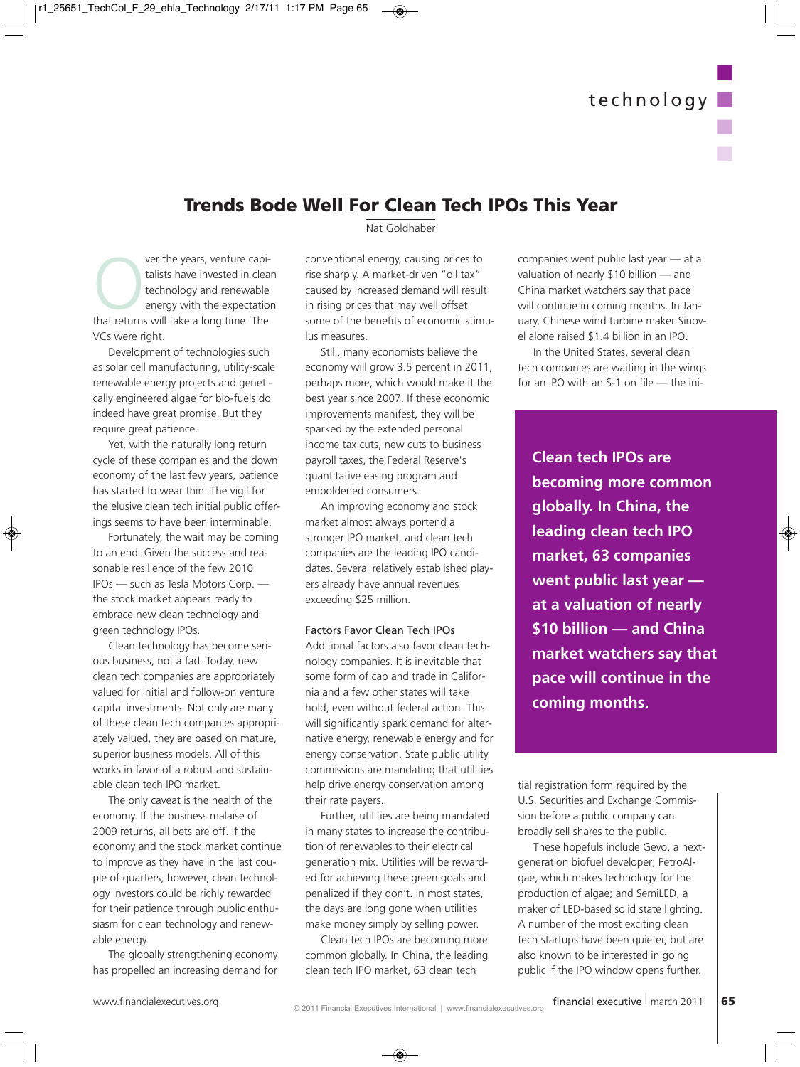n

n

n

## **Trends Bode Well For Clean Tech IPOs This Year**

Over the years, venture capi-<br>talists have invested in clear<br>technology and renewable<br>energy with the expectatio<br>that returns will take a long time. The talists have invested in clean technology and renewable energy with the expectation VCs were right.

Development of technologies such as solar cell manufacturing, utility-scale renewable energy projects and genetically engineered algae for bio-fuels do indeed have great promise. But they require great patience.

Yet, with the naturally long return cycle of these companies and the down economy of the last few years, patience has started to wear thin. The vigil for the elusive clean tech initial public offerings seems to have been interminable.

Fortunately, the wait may be coming to an end. Given the success and reasonable resilience of the few 2010 IPOs — such as Tesla Motors Corp. the stock market appears ready to embrace new clean technology and green technology IPOs.

Clean technology has become serious business, not a fad. Today, new clean tech companies are appropriately valued for initial and follow-on venture capital investments. Not only are many of these clean tech companies appropriately valued, they are based on mature, superior business models. All of this works in favor of a robust and sustainable clean tech IPO market.

The only caveat is the health of the economy. If the business malaise of 2009 returns, all bets are off. If the economy and the stock market continue to improve as they have in the last couple of quarters, however, clean technology investors could be richly rewarded for their patience through public enthusiasm for clean technology and renewable energy.

The globally strengthening economy has propelled an increasing demand for Nat Goldhaber

conventional energy, causing prices to rise sharply. A market-driven "oil tax" caused by increased demand will result in rising prices that may well offset some of the benefits of economic stimulus measures.

Still, many economists believe the economy will grow 3.5 percent in 2011, perhaps more, which would make it the best year since 2007. If these economic improvements manifest, they will be sparked by the extended personal income tax cuts, new cuts to business payroll taxes, the Federal Reserve's quantitative easing program and emboldened consumers.

An improving economy and stock market almost always portend a stronger IPO market, and clean tech companies are the leading IPO candidates. Several relatively established players already have annual revenues exceeding \$25 million.

## Factors Favor Clean Tech IPOs

Additional factors also favor clean technology companies. It is inevitable that some form of cap and trade in California and a few other states will take hold, even without federal action. This will significantly spark demand for alternative energy, renewable energy and for energy conservation. State public utility commissions are mandating that utilities help drive energy conservation among their rate payers.

Further, utilities are being mandated in many states to increase the contribution of renewables to their electrical generation mix. Utilities will be rewarded for achieving these green goals and penalized if they don't. In most states, the days are long gone when utilities make money simply by selling power.

Clean tech IPOs are becoming more common globally. In China, the leading clean tech IPO market, 63 clean tech

companies went public last year — at a valuation of nearly \$10 billion — and China market watchers say that pace will continue in coming months. In January, Chinese wind turbine maker Sinovel alone raised \$1.4 billion in an IPO.

In the United States, several clean tech companies are waiting in the wings for an IPO with an S-1 on file — the ini-

**Clean tech IPOs are becoming more common globally. In China, the leading clean tech IPO market, 63 companies went public last year at a valuation of nearly \$10 billion — and China market watchers say that pace will continue in the coming months.**

tial registration form required by the U.S. Securities and Exchange Commission before a public company can broadly sell shares to the public.

These hopefuls include Gevo, a nextgeneration biofuel developer; PetroAlgae, which makes technology for the production of algae; and SemiLED, a maker of LED-based solid state lighting. A number of the most exciting clean tech startups have been quieter, but are also known to be interested in going public if the IPO window opens further.